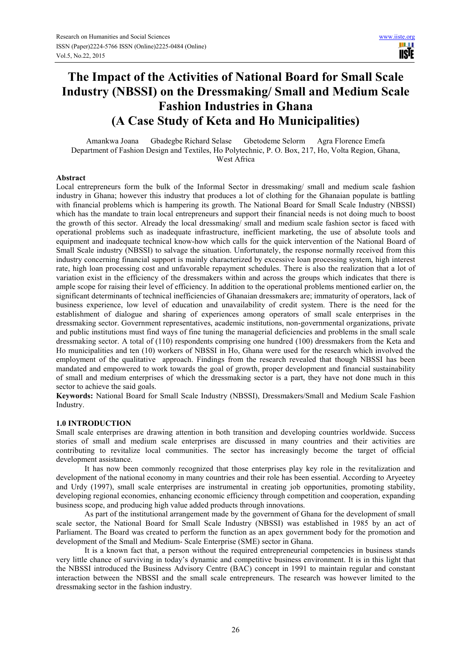# **The Impact of the Activities of National Board for Small Scale Industry (NBSSI) on the Dressmaking/ Small and Medium Scale Fashion Industries in Ghana (A Case Study of Keta and Ho Municipalities)**

Amankwa Joana Gbadegbe Richard Selase Gbetodeme Selorm Agra Florence Emefa Department of Fashion Design and Textiles, Ho Polytechnic, P. O. Box, 217, Ho, Volta Region, Ghana, West Africa

## **Abstract**

Local entrepreneurs form the bulk of the Informal Sector in dressmaking/ small and medium scale fashion industry in Ghana; however this industry that produces a lot of clothing for the Ghanaian populate is battling with financial problems which is hampering its growth. The National Board for Small Scale Industry (NBSSI) which has the mandate to train local entrepreneurs and support their financial needs is not doing much to boost the growth of this sector. Already the local dressmaking/ small and medium scale fashion sector is faced with operational problems such as inadequate infrastructure, inefficient marketing, the use of absolute tools and equipment and inadequate technical know-how which calls for the quick intervention of the National Board of Small Scale industry (NBSSI) to salvage the situation. Unfortunately, the response normally received from this industry concerning financial support is mainly characterized by excessive loan processing system, high interest rate, high loan processing cost and unfavorable repayment schedules. There is also the realization that a lot of variation exist in the efficiency of the dressmakers within and across the groups which indicates that there is ample scope for raising their level of efficiency. In addition to the operational problems mentioned earlier on, the significant determinants of technical inefficiencies of Ghanaian dressmakers are; immaturity of operators, lack of business experience, low level of education and unavailability of credit system. There is the need for the establishment of dialogue and sharing of experiences among operators of small scale enterprises in the dressmaking sector. Government representatives, academic institutions, non-governmental organizations, private and public institutions must find ways of fine tuning the managerial deficiencies and problems in the small scale dressmaking sector. A total of (110) respondents comprising one hundred (100) dressmakers from the Keta and Ho municipalities and ten (10) workers of NBSSI in Ho, Ghana were used for the research which involved the employment of the qualitative approach. Findings from the research revealed that though NBSSI has been mandated and empowered to work towards the goal of growth, proper development and financial sustainability of small and medium enterprises of which the dressmaking sector is a part, they have not done much in this sector to achieve the said goals.

**Keywords:** National Board for Small Scale Industry (NBSSI), Dressmakers/Small and Medium Scale Fashion Industry.

## **1.0 INTRODUCTION**

Small scale enterprises are drawing attention in both transition and developing countries worldwide. Success stories of small and medium scale enterprises are discussed in many countries and their activities are contributing to revitalize local communities. The sector has increasingly become the target of official development assistance.

It has now been commonly recognized that those enterprises play key role in the revitalization and development of the national economy in many countries and their role has been essential. According to Aryeetey and Urdy (1997), small scale enterprises are instrumental in creating job opportunities, promoting stability, developing regional economies, enhancing economic efficiency through competition and cooperation, expanding business scope, and producing high value added products through innovations.

As part of the institutional arrangement made by the government of Ghana for the development of small scale sector, the National Board for Small Scale Industry (NBSSI) was established in 1985 by an act of Parliament. The Board was created to perform the function as an apex government body for the promotion and development of the Small and Medium- Scale Enterprise (SME) sector in Ghana.

It is a known fact that, a person without the required entrepreneurial competencies in business stands very little chance of surviving in today's dynamic and competitive business environment. It is in this light that the NBSSI introduced the Business Advisory Centre (BAC) concept in 1991 to maintain regular and constant interaction between the NBSSI and the small scale entrepreneurs. The research was however limited to the dressmaking sector in the fashion industry.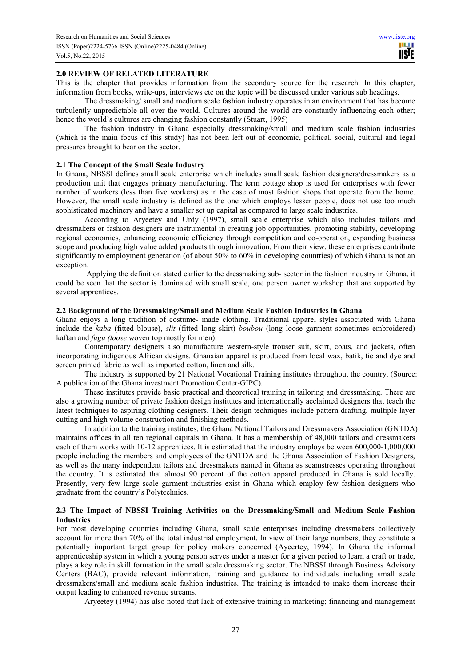#### **2.0 REVIEW OF RELATED LITERATURE**

This is the chapter that provides information from the secondary source for the research. In this chapter, information from books, write-ups, interviews etc on the topic will be discussed under various sub headings.

The dressmaking/ small and medium scale fashion industry operates in an environment that has become turbulently unpredictable all over the world. Cultures around the world are constantly influencing each other; hence the world's cultures are changing fashion constantly (Stuart, 1995)

The fashion industry in Ghana especially dressmaking/small and medium scale fashion industries (which is the main focus of this study) has not been left out of economic, political, social, cultural and legal pressures brought to bear on the sector.

#### **2.1 The Concept of the Small Scale Industry**

In Ghana, NBSSI defines small scale enterprise which includes small scale fashion designers/dressmakers as a production unit that engages primary manufacturing. The term cottage shop is used for enterprises with fewer number of workers (less than five workers) as in the case of most fashion shops that operate from the home. However, the small scale industry is defined as the one which employs lesser people, does not use too much sophisticated machinery and have a smaller set up capital as compared to large scale industries.

According to Aryeetey and Urdy (1997), small scale enterprise which also includes tailors and dressmakers or fashion designers are instrumental in creating job opportunities, promoting stability, developing regional economies, enhancing economic efficiency through competition and co-operation, expanding business scope and producing high value added products through innovation. From their view, these enterprises contribute significantly to employment generation (of about 50% to 60% in developing countries) of which Ghana is not an exception.

 Applying the definition stated earlier to the dressmaking sub- sector in the fashion industry in Ghana, it could be seen that the sector is dominated with small scale, one person owner workshop that are supported by several apprentices.

#### **2.2 Background of the Dressmaking/Small and Medium Scale Fashion Industries in Ghana**

Ghana enjoys a long tradition of costume- made clothing. Traditional apparel styles associated with Ghana include the *kaba* (fitted blouse), *slit* (fitted long skirt) *boubou* (long loose garment sometimes embroidered) kaftan and *fugu (loose* woven top mostly for men).

Contemporary designers also manufacture western-style trouser suit, skirt, coats, and jackets, often incorporating indigenous African designs. Ghanaian apparel is produced from local wax, batik, tie and dye and screen printed fabric as well as imported cotton, linen and silk.

The industry is supported by 21 National Vocational Training institutes throughout the country. (Source: A publication of the Ghana investment Promotion Center-GIPC).

These institutes provide basic practical and theoretical training in tailoring and dressmaking. There are also a growing number of private fashion design institutes and internationally acclaimed designers that teach the latest techniques to aspiring clothing designers. Their design techniques include pattern drafting, multiple layer cutting and high volume construction and finishing methods.

In addition to the training institutes, the Ghana National Tailors and Dressmakers Association (GNTDA) maintains offices in all ten regional capitals in Ghana. It has a membership of 48,000 tailors and dressmakers each of them works with 10-12 apprentices. It is estimated that the industry employs between 600,000-1,000,000 people including the members and employees of the GNTDA and the Ghana Association of Fashion Designers, as well as the many independent tailors and dressmakers named in Ghana as seamstresses operating throughout the country. It is estimated that almost 90 percent of the cotton apparel produced in Ghana is sold locally. Presently, very few large scale garment industries exist in Ghana which employ few fashion designers who graduate from the country's Polytechnics.

#### **2.3 The Impact of NBSSI Training Activities on the Dressmaking/Small and Medium Scale Fashion Industries**

For most developing countries including Ghana, small scale enterprises including dressmakers collectively account for more than 70% of the total industrial employment. In view of their large numbers, they constitute a potentially important target group for policy makers concerned (Ayeertey, 1994). In Ghana the informal apprenticeship system in which a young person serves under a master for a given period to learn a craft or trade, plays a key role in skill formation in the small scale dressmaking sector. The NBSSI through Business Advisory Centers (BAC), provide relevant information, training and guidance to individuals including small scale dressmakers/small and medium scale fashion industries. The training is intended to make them increase their output leading to enhanced revenue streams.

Aryeetey (1994) has also noted that lack of extensive training in marketing; financing and management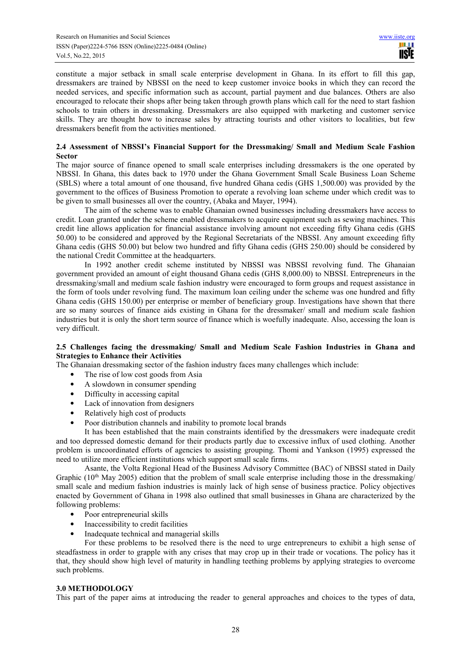constitute a major setback in small scale enterprise development in Ghana. In its effort to fill this gap, dressmakers are trained by NBSSI on the need to keep customer invoice books in which they can record the needed services, and specific information such as account, partial payment and due balances. Others are also encouraged to relocate their shops after being taken through growth plans which call for the need to start fashion schools to train others in dressmaking. Dressmakers are also equipped with marketing and customer service skills. They are thought how to increase sales by attracting tourists and other visitors to localities, but few dressmakers benefit from the activities mentioned.

#### **2.4 Assessment of NBSSI's Financial Support for the Dressmaking/ Small and Medium Scale Fashion Sector**

The major source of finance opened to small scale enterprises including dressmakers is the one operated by NBSSI. In Ghana, this dates back to 1970 under the Ghana Government Small Scale Business Loan Scheme (SBLS) where a total amount of one thousand, five hundred Ghana cedis (GHS 1,500.00) was provided by the government to the offices of Business Promotion to operate a revolving loan scheme under which credit was to be given to small businesses all over the country, (Abaka and Mayer, 1994).

The aim of the scheme was to enable Ghanaian owned businesses including dressmakers have access to credit. Loan granted under the scheme enabled dressmakers to acquire equipment such as sewing machines. This credit line allows application for financial assistance involving amount not exceeding fifty Ghana cedis (GHS 50.00) to be considered and approved by the Regional Secretariats of the NBSSI. Any amount exceeding fifty Ghana cedis (GHS 50.00) but below two hundred and fifty Ghana cedis (GHS 250.00) should be considered by the national Credit Committee at the headquarters.

In 1992 another credit scheme instituted by NBSSI was NBSSI revolving fund. The Ghanaian government provided an amount of eight thousand Ghana cedis (GHS 8,000.00) to NBSSI. Entrepreneurs in the dressmaking/small and medium scale fashion industry were encouraged to form groups and request assistance in the form of tools under revolving fund. The maximum loan ceiling under the scheme was one hundred and fifty Ghana cedis (GHS 150.00) per enterprise or member of beneficiary group. Investigations have shown that there are so many sources of finance aids existing in Ghana for the dressmaker/ small and medium scale fashion industries but it is only the short term source of finance which is woefully inadequate. Also, accessing the loan is very difficult.

## **2.5 Challenges facing the dressmaking/ Small and Medium Scale Fashion Industries in Ghana and Strategies to Enhance their Activities**

The Ghanaian dressmaking sector of the fashion industry faces many challenges which include:

- The rise of low cost goods from Asia
- A slowdown in consumer spending
- Difficulty in accessing capital
- Lack of innovation from designers
- Relatively high cost of products
- Poor distribution channels and inability to promote local brands

It has been established that the main constraints identified by the dressmakers were inadequate credit and too depressed domestic demand for their products partly due to excessive influx of used clothing. Another problem is uncoordinated efforts of agencies to assisting grouping. Thomi and Yankson (1995) expressed the need to utilize more efficient institutions which support small scale firms.

Asante, the Volta Regional Head of the Business Advisory Committee (BAC) of NBSSI stated in Daily Graphic  $(10<sup>th</sup>$  May 2005) edition that the problem of small scale enterprise including those in the dressmaking/ small scale and medium fashion industries is mainly lack of high sense of business practice. Policy objectives enacted by Government of Ghana in 1998 also outlined that small businesses in Ghana are characterized by the following problems:

- Poor entrepreneurial skills
- Inaccessibility to credit facilities
- Inadequate technical and managerial skills

For these problems to be resolved there is the need to urge entrepreneurs to exhibit a high sense of steadfastness in order to grapple with any crises that may crop up in their trade or vocations. The policy has it that, they should show high level of maturity in handling teething problems by applying strategies to overcome such problems.

## **3.0 METHODOLOGY**

This part of the paper aims at introducing the reader to general approaches and choices to the types of data,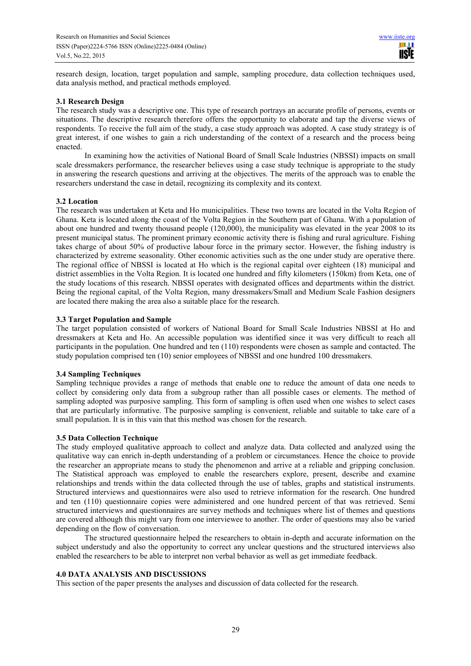research design, location, target population and sample, sampling procedure, data collection techniques used, data analysis method, and practical methods employed.

#### **3.1 Research Design**

The research study was a descriptive one. This type of research portrays an accurate profile of persons, events or situations. The descriptive research therefore offers the opportunity to elaborate and tap the diverse views of respondents. To receive the full aim of the study, a case study approach was adopted. A case study strategy is of great interest, if one wishes to gain a rich understanding of the context of a research and the process being enacted.

In examining how the activities of National Board of Small Scale lndustries (NBSSI) impacts on small scale dressmakers performance, the researcher believes using a case study technique is appropriate to the study in answering the research questions and arriving at the objectives. The merits of the approach was to enable the researchers understand the case in detail, recognizing its complexity and its context.

#### **3.2 Location**

The research was undertaken at Keta and Ho municipalities. These two towns are located in the Volta Region of Ghana. Keta is located along the coast of the Volta Region in the Southern part of Ghana. With a population of about one hundred and twenty thousand people (120,000), the municipality was elevated in the year 2008 to its present municipal status. The prominent primary economic activity there is fishing and rural agriculture. Fishing takes charge of about 50% of productive labour force in the primary sector. However, the fishing industry is characterized by extreme seasonality. Other economic activities such as the one under study are operative there. The regional office of NBSSI is located at Ho which is the regional capital over eighteen (18) municipal and district assemblies in the Volta Region. It is located one hundred and fifty kilometers (150km) from Keta, one of the study locations of this research. NBSSI operates with designated offices and departments within the district. Being the regional capital, of the Volta Region, many dressmakers/Small and Medium Scale Fashion designers are located there making the area also a suitable place for the research.

#### **3.3 Target Population and Sample**

The target population consisted of workers of National Board for Small Scale Industries NBSSI at Ho and dressmakers at Keta and Ho. An accessible population was identified since it was very difficult to reach all participants in the population. One hundred and ten (110) respondents were chosen as sample and contacted. The study population comprised ten (10) senior employees of NBSSI and one hundred 100 dressmakers.

## **3.4 Sampling Techniques**

Sampling technique provides a range of methods that enable one to reduce the amount of data one needs to collect by considering only data from a subgroup rather than all possible cases or elements. The method of sampling adopted was purposive sampling. This form of sampling is often used when one wishes to select cases that are particularly informative. The purposive sampling is convenient, reliable and suitable to take care of a small population. It is in this vain that this method was chosen for the research.

#### **3.5 Data Collection Technique**

The study employed qualitative approach to collect and analyze data. Data collected and analyzed using the qualitative way can enrich in-depth understanding of a problem or circumstances. Hence the choice to provide the researcher an appropriate means to study the phenomenon and arrive at a reliable and gripping conclusion. The Statistical approach was employed to enable the researchers explore, present, describe and examine relationships and trends within the data collected through the use of tables, graphs and statistical instruments. Structured interviews and questionnaires were also used to retrieve information for the research. One hundred and ten (110) questionnaire copies were administered and one hundred percent of that was retrieved. Semi structured interviews and questionnaires are survey methods and techniques where list of themes and questions are covered although this might vary from one interviewee to another. The order of questions may also be varied depending on the flow of conversation.

The structured questionnaire helped the researchers to obtain in-depth and accurate information on the subject understudy and also the opportunity to correct any unclear questions and the structured interviews also enabled the researchers to be able to interpret non verbal behavior as well as get immediate feedback.

#### **4.0 DATA ANALYSIS AND DISCUSSIONS**

This section of the paper presents the analyses and discussion of data collected for the research.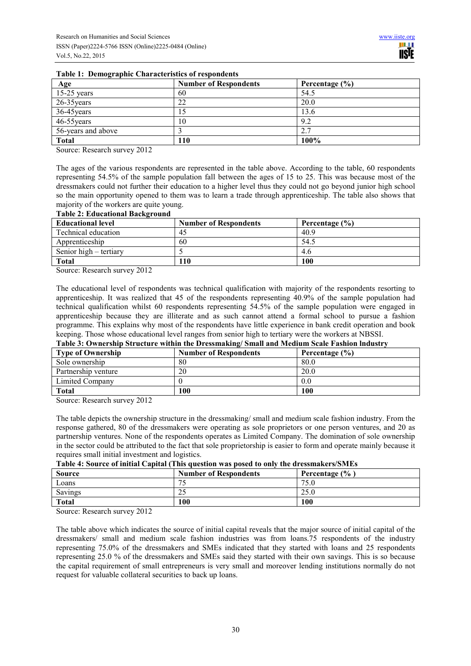| Age                | <b>Number of Respondents</b> | Percentage $(\% )$ |
|--------------------|------------------------------|--------------------|
| $15-25$ years      | 60                           | 54.5               |
| $26-35$ years      | 22                           | 20.0               |
| 36-45 years        | 15                           | 13.6               |
| 46-55 years        | 10                           | 9.2                |
| 56-years and above |                              | 2.7                |
| <b>Total</b>       | 110                          | 100%               |

#### **Table 1: Demographic Characteristics of respondents**

Source: Research survey 2012

The ages of the various respondents are represented in the table above. According to the table, 60 respondents representing 54.5% of the sample population fall between the ages of 15 to 25. This was because most of the dressmakers could not further their education to a higher level thus they could not go beyond junior high school so the main opportunity opened to them was to learn a trade through apprenticeship. The table also shows that majority of the workers are quite young.

#### **Table 2: Educational Background**

| <b>Educational level</b> | <b>Number of Respondents</b> | Percentage $(\% )$ |
|--------------------------|------------------------------|--------------------|
| Technical education      | 45                           | 40.9               |
| Apprenticeship           | 60                           | 54.5               |
| Senior high – tertiary   |                              | 4.6                |
| <b>Total</b>             | 110                          | 100                |

Source: Research survey 2012

The educational level of respondents was technical qualification with majority of the respondents resorting to apprenticeship. It was realized that 45 of the respondents representing 40.9% of the sample population had technical qualification whilst 60 respondents representing 54.5% of the sample population were engaged in apprenticeship because they are illiterate and as such cannot attend a formal school to pursue a fashion programme. This explains why most of the respondents have little experience in bank credit operation and book keeping. Those whose educational level ranges from senior high to tertiary were the workers at NBSSI.

# **Table 3: Ownership Structure within the Dressmaking/ Small and Medium Scale Fashion lndustry**

| <b>Type of Ownership</b> | <b>Number of Respondents</b> | Percentage (%) |
|--------------------------|------------------------------|----------------|
| Sole ownership           | 80                           | 80.0           |
| Partnership venture      | 20                           | 20.0           |
| Limited Company          |                              | 0.0            |
| <b>Total</b>             | 100                          | 100            |

Source: Research survey 2012

The table depicts the ownership structure in the dressmaking/ small and medium scale fashion industry. From the response gathered, 80 of the dressmakers were operating as sole proprietors or one person ventures, and 20 as partnership ventures. None of the respondents operates as Limited Company. The domination of sole ownership in the sector could be attributed to the fact that sole proprietorship is easier to form and operate mainly because it requires small initial investment and logistics.

| таріс п болі се от ініцій саріват і пів айсвион мав ровса во оніч спе атсвянанствовных |                              |                    |  |
|----------------------------------------------------------------------------------------|------------------------------|--------------------|--|
| <b>Source</b>                                                                          | <b>Number of Respondents</b> | Percentage $(\% )$ |  |
| Loans                                                                                  | 75                           | 75.0               |  |
| Savings                                                                                | 25                           | 25.0               |  |
| Total                                                                                  | 100                          | 100                |  |

#### **Table 4: Source of initial Capital (This question was posed to only the dressmakers/SMEs**

Source: Research survey 2012

The table above which indicates the source of initial capital reveals that the major source of initial capital of the dressmakers/ small and medium scale fashion industries was from loans.75 respondents of the industry representing 75.0% of the dressmakers and SMEs indicated that they started with loans and 25 respondents representing 25.0 % of the dressmakers and SMEs said they started with their own savings. This is so because the capital requirement of small entrepreneurs is very small and moreover lending institutions normally do not request for valuable collateral securities to back up loans.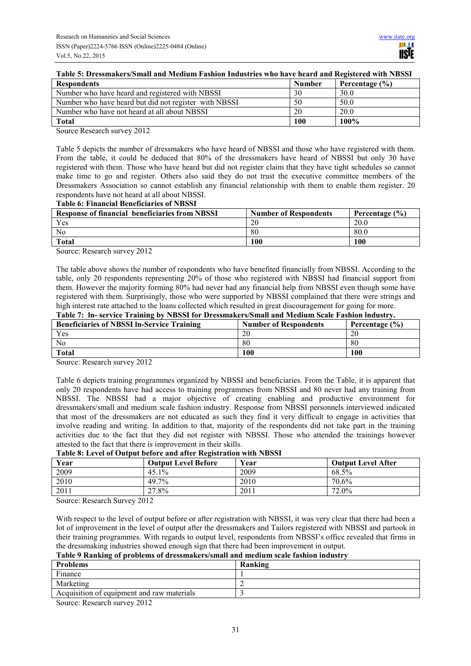|  |  |  | Table 5: Dressmakers/Small and Medium Fashion Industries who have heard and Registered with NBSSI |  |
|--|--|--|---------------------------------------------------------------------------------------------------|--|
|  |  |  |                                                                                                   |  |

| <b>Respondents</b>                                    | <b>Number</b> | Percentage $(\% )$ |
|-------------------------------------------------------|---------------|--------------------|
| Number who have heard and registered with NBSSI       | 30            | 30.0               |
| Number who have heard but did not register with NBSSI | 50            | 50.0               |
| Number who have not heard at all about NBSSI          | 20            | 20.0               |
| Total                                                 | 100           | $100\%$            |

Source Research survey 2012

Table 5 depicts the number of dressmakers who have heard of NBSSI and those who have registered with them. From the table, it could be deduced that 80% of the dressmakers have heard of NBSSI but only 30 have registered with them. Those who have heard but did not register claim that they have tight schedules so cannot make time to go and register. Others also said they do not trust the executive committee members of the Dressmakers Association so cannot establish any financial relationship with them to enable them register. 20 respondents have not heard at all about NBSSI.

#### **Table 6: Financial Beneficiaries of NBSSI**

| <b>Response of financial beneficiaries from NBSSI</b> | <b>Number of Respondents</b> | Percentage $(\% )$ |
|-------------------------------------------------------|------------------------------|--------------------|
| Yes                                                   | 20                           | 20.0               |
| N <sub>0</sub>                                        | 80                           | 80.0               |
| <b>Total</b>                                          | 100                          | 100                |

Source: Research survey 2012

The table above shows the number of respondents who have benefited financially from NBSSI. According to the table, only 20 respondents representing 20% of those who registered with NBSSI had financial support from them. However the majority forming 80% had never had any financial help from NBSSI even though some have registered with them. Surprisingly, those who were supported by NBSSI complained that there were strings and high interest rate attached to the loans collected which resulted in great discouragement for going for more. **Table 7: ln- service Training by NBSSI for Dressmakers/Small and Medium Scale Fashion lndustry.** 

| Table 7, The Scrytec Framing by POSSI for Dressmakers/Sman and Medium Scale Pasmon muustry. |                              |                    |  |
|---------------------------------------------------------------------------------------------|------------------------------|--------------------|--|
| <b>Beneficiaries of NBSSI In-Service Training</b>                                           | <b>Number of Respondents</b> | Percentage $(\% )$ |  |
| Yes                                                                                         | 20                           | 20                 |  |
| N <sub>0</sub>                                                                              | 80                           | 80                 |  |
| Total                                                                                       | 100                          | 100                |  |

Source: Research survey 2012

Table 6 depicts training programmes organized by NBSSI and beneficiaries. From the Table, it is apparent that only 20 respondents have had access to training programmes from NBSSI and 80 never had any training from NBSSI. The NBSSI had a major objective of creating enabling and productive environment for dressmakers/small and medium scale fashion industry. Response from NBSSI personnels interviewed indicated that most of the dressmakers are not educated as such they find it very difficult to engage in activities that involve reading and writing. In addition to that, majority of the respondents did not take part in the training activities due to the fact that they did not register with NBSSI. Those who attended the trainings however attested to the fact that there is improvement in their skills.

#### **Table 8: Level of Output before and after Registration with NBSSI**

| Year | <b>Output Level Before</b> | Vear | <b>Output Level After</b> |
|------|----------------------------|------|---------------------------|
| 2009 | 45.1%                      | 2009 | 68.5%                     |
| 2010 | 49.7%                      | 2010 | 70.6%                     |
| 2011 | 27.8%                      | 2011 | 72.0%                     |

Source: Research Survey 2012

With respect to the level of output before or after registration with NBSSI, it was very clear that there had been a lot of improvement in the level of output after the dressmakers and Tailors registered with NBSSI and partook in their training programmes. With regards to output level, respondents from NBSSI's office revealed that firms in the dressmaking industries showed enough sign that there had been improvement in output.

# **Table 9 Ranking of problems of dressmakers/small and medium scale fashion industry**

| <b>Problems</b>                            | Ranking |
|--------------------------------------------|---------|
| Finance                                    |         |
| Marketing                                  |         |
| Acquisition of equipment and raw materials |         |
| 0.010<br><sup>n</sup>                      |         |

Source: Research survey 2012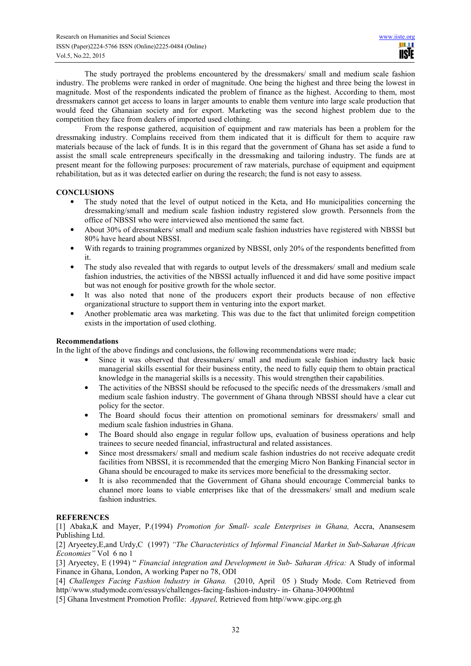The study portrayed the problems encountered by the dressmakers/ small and medium scale fashion industry. The problems were ranked in order of magnitude. One being the highest and three being the lowest in magnitude. Most of the respondents indicated the problem of finance as the highest. According to them, most dressmakers cannot get access to loans in larger amounts to enable them venture into large scale production that would feed the Ghanaian society and for export. Marketing was the second highest problem due to the competition they face from dealers of imported used clothing.

From the response gathered, acquisition of equipment and raw materials has been a problem for the dressmaking industry. Complains received from them indicated that it is difficult for them to acquire raw materials because of the lack of funds. It is in this regard that the government of Ghana has set aside a fund to assist the small scale entrepreneurs specifically in the dressmaking and tailoring industry. The funds are at present meant for the following purposes: procurement of raw materials, purchase of equipment and equipment rehabilitation, but as it was detected earlier on during the research; the fund is not easy to assess.

## **CONCLUSIONS**

- The study noted that the level of output noticed in the Keta, and Ho municipalities concerning the dressmaking/small and medium scale fashion industry registered slow growth. Personnels from the office of NBSSI who were interviewed also mentioned the same fact.
- About 30% of dressmakers/ small and medium scale fashion industries have registered with NBSSI but 80% have heard about NBSSI.
- With regards to training programmes organized by NBSSI, only 20% of the respondents benefitted from it.
- The study also revealed that with regards to output levels of the dressmakers/ small and medium scale fashion industries, the activities of the NBSSI actually influenced it and did have some positive impact but was not enough for positive growth for the whole sector.
- It was also noted that none of the producers export their products because of non effective organizational structure to support them in venturing into the export market.
- Another problematic area was marketing. This was due to the fact that unlimited foreign competition exists in the importation of used clothing.

## **Recommendations**

In the light of the above findings and conclusions, the following recommendations were made;

- Since it was observed that dressmakers/ small and medium scale fashion industry lack basic managerial skills essential for their business entity, the need to fully equip them to obtain practical knowledge in the managerial skills is a necessity. This would strengthen their capabilities.
- The activities of the NBSSI should be refocused to the specific needs of the dressmakers /small and medium scale fashion industry. The government of Ghana through NBSSI should have a clear cut policy for the sector.
- The Board should focus their attention on promotional seminars for dressmakers/ small and medium scale fashion industries in Ghana.
- The Board should also engage in regular follow ups, evaluation of business operations and help trainees to secure needed financial, infrastructural and related assistances.
- Since most dressmakers/ small and medium scale fashion industries do not receive adequate credit facilities from NBSSI, it is recommended that the emerging Micro Non Banking Financial sector in Ghana should be encouraged to make its services more beneficial to the dressmaking sector.
- It is also recommended that the Government of Ghana should encourage Commercial banks to channel more loans to viable enterprises like that of the dressmakers/ small and medium scale fashion industries.

## **REFERENCES**

[1] Abaka,K and Mayer, P.(1994) *Promotion for Small- scale Enterprises in Ghana,* Accra, Anansesem Publishing Ltd.

[2] Aryeetey,E,and Urdy,C (1997) *"The Characteristics of Informal Financial Market in Sub-Saharan African Economies"* Vol 6 no 1

[3] Aryeetey, E (1994) " *Financial integration and Development in Sub- Saharan Africa:* A Study of informal Finance in Ghana, London, A working Paper no 78, ODI

[4] *Challenges Facing Fashion lndustry in Ghana.* (2010, April 05 ) Study Mode. Com Retrieved from http//www.studymode.com/essays/challenges-facing-fashion-industry- in- Ghana-304900html

[5] Ghana Investment Promotion Profile: *Apparel,* Retrieved from http//www.gipc.org.gh